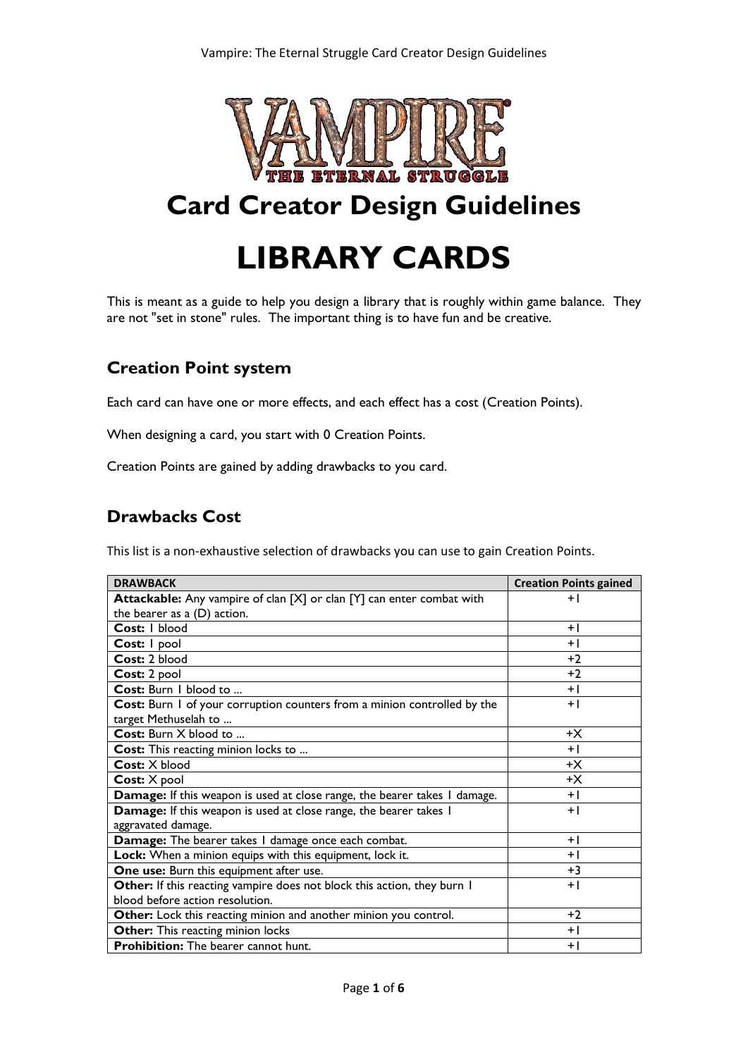

## **Card Creator Design Guidelines**

# **LIBRARY CARDS**

This is meant as a guide to help you design a library that is roughly within game balance. They are not "set in stone" rules. The important thing is to have fun and be creative.

## **Creation Point system**

Each card can have one or more effects, and each effect has a cost (Creation Points).

When designing a card, you start with 0 Creation Points.

Creation Points are gained by adding drawbacks to you card.

## **Drawbacks Cost**

This list is a non-exhaustive selection of drawbacks you can use to gain Creation Points.

| <b>DRAWBACK</b>                                                              | <b>Creation Points gained</b> |
|------------------------------------------------------------------------------|-------------------------------|
| <b>Attackable:</b> Any vampire of clan [X] or clan [Y] can enter combat with | $+1$                          |
| the bearer as a (D) action.                                                  |                               |
| Cost: I blood                                                                | $+1$                          |
| Cost: I pool                                                                 | $+1$                          |
| Cost: 2 blood                                                                | $+2$                          |
| Cost: 2 pool                                                                 | $+2$                          |
| Cost: Burn I blood to                                                        | $+1$                          |
| Cost: Burn 1 of your corruption counters from a minion controlled by the     | $+1$                          |
| target Methuselah to                                                         |                               |
| Cost: Burn X blood to                                                        | +Х                            |
| Cost: This reacting minion locks to                                          | $+1$                          |
| Cost: X blood                                                                | +Х                            |
| Cost: X pool                                                                 | $+X$                          |
| Damage: If this weapon is used at close range, the bearer takes I damage.    | $+1$                          |
| Damage: If this weapon is used at close range, the bearer takes I            | $+1$                          |
| aggravated damage.                                                           |                               |
| Damage: The bearer takes I damage once each combat.                          | $+1$                          |
| Lock: When a minion equips with this equipment, lock it.                     | $+1$                          |
| One use: Burn this equipment after use.                                      | $+3$                          |
| Other: If this reacting vampire does not block this action, they burn I      | $+1$                          |
| blood before action resolution.                                              |                               |
| Other: Lock this reacting minion and another minion you control.             | $+2$                          |
| Other: This reacting minion locks                                            | $+1$                          |
| <b>Prohibition:</b> The bearer cannot hunt.                                  | $+1$                          |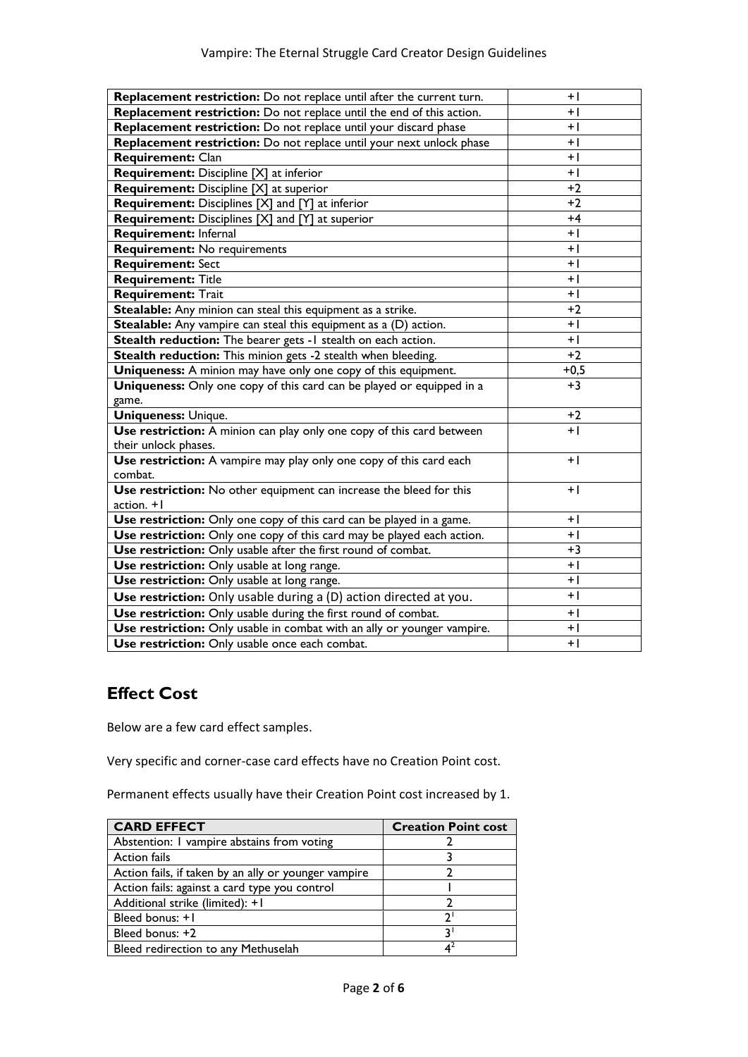| Replacement restriction: Do not replace until after the current turn.   | $+1$   |
|-------------------------------------------------------------------------|--------|
| Replacement restriction: Do not replace until the end of this action.   | $+1$   |
| Replacement restriction: Do not replace until your discard phase        | $+1$   |
| Replacement restriction: Do not replace until your next unlock phase    | $+1$   |
| <b>Requirement: Clan</b>                                                | $+1$   |
| Requirement: Discipline [X] at inferior                                 | $+1$   |
| <b>Requirement:</b> Discipline [X] at superior                          | $+2$   |
| <b>Requirement:</b> Disciplines [X] and [Y] at inferior                 | $+2$   |
| <b>Requirement:</b> Disciplines [X] and [Y] at superior                 | $+4$   |
| <b>Requirement: Infernal</b>                                            | $+1$   |
| <b>Requirement: No requirements</b>                                     | $+1$   |
| <b>Requirement: Sect</b>                                                | $+$    |
| <b>Requirement: Title</b>                                               | $+$    |
| <b>Requirement: Trait</b>                                               | $+$    |
| Stealable: Any minion can steal this equipment as a strike.             | $+2$   |
| Stealable: Any vampire can steal this equipment as a (D) action.        | $+1$   |
| Stealth reduction: The bearer gets -1 stealth on each action.           | $+1$   |
| Stealth reduction: This minion gets -2 stealth when bleeding.           | $+2$   |
| Uniqueness: A minion may have only one copy of this equipment.          | $+0.5$ |
| Uniqueness: Only one copy of this card can be played or equipped in a   | $+3$   |
| game.                                                                   |        |
| <b>Uniqueness: Unique.</b>                                              | $+2$   |
| Use restriction: A minion can play only one copy of this card between   | $+1$   |
| their unlock phases.                                                    |        |
| Use restriction: A vampire may play only one copy of this card each     | $+1$   |
| combat.                                                                 |        |
| Use restriction: No other equipment can increase the bleed for this     | $+1$   |
| $action. + I$                                                           |        |
| Use restriction: Only one copy of this card can be played in a game.    | $+1$   |
| Use restriction: Only one copy of this card may be played each action.  | $+1$   |
| Use restriction: Only usable after the first round of combat.           | $+3$   |
| Use restriction: Only usable at long range.                             | $+$    |
| Use restriction: Only usable at long range.                             | $+$    |
| Use restriction: Only usable during a (D) action directed at you.       | $+1$   |
| Use restriction: Only usable during the first round of combat.          | $+1$   |
| Use restriction: Only usable in combat with an ally or younger vampire. | $+$    |
| Use restriction: Only usable once each combat.                          | $+1$   |

## **Effect Cost**

Below are a few card effect samples.

Very specific and corner-case card effects have no Creation Point cost.

Permanent effects usually have their Creation Point cost increased by 1.

| <b>CARD EFFECT</b>                                   | <b>Creation Point cost</b> |
|------------------------------------------------------|----------------------------|
| Abstention: I vampire abstains from voting           |                            |
| <b>Action fails</b>                                  |                            |
| Action fails, if taken by an ally or younger vampire |                            |
| Action fails: against a card type you control        |                            |
| Additional strike (limited): +1                      |                            |
| Bleed bonus: +1                                      | n.                         |
| Bleed bonus: +2                                      |                            |
| Bleed redirection to any Methuselah                  |                            |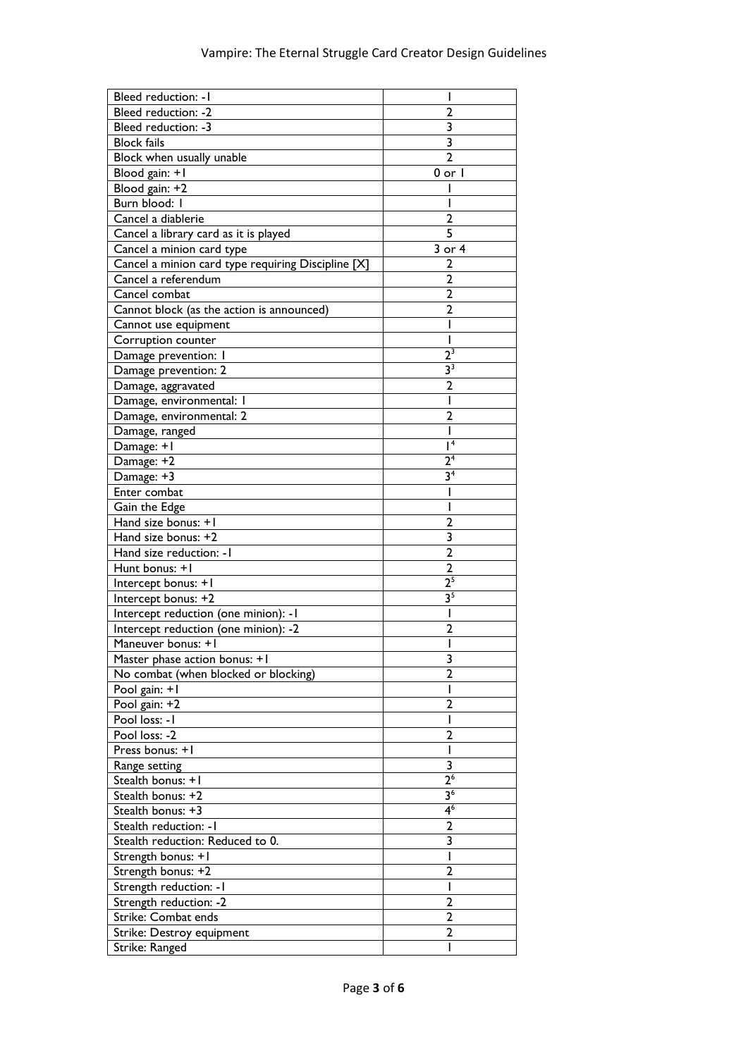| Bleed reduction: - I                               |                           |
|----------------------------------------------------|---------------------------|
| <b>Bleed reduction: -2</b>                         | 2                         |
| Bleed reduction: -3                                | 3                         |
| <b>Block fails</b>                                 | $\overline{\overline{3}}$ |
| Block when usually unable                          | $\overline{2}$            |
| Blood gain: +1                                     | $0$ or $ $                |
| Blood gain: +2                                     |                           |
| Burn blood: I                                      |                           |
| Cancel a diablerie                                 | 2                         |
| Cancel a library card as it is played              | 5                         |
| Cancel a minion card type                          | 3 or 4                    |
| Cancel a minion card type requiring Discipline [X] | 2                         |
| Cancel a referendum                                | $\overline{2}$            |
| Cancel combat                                      | 2                         |
| Cannot block (as the action is announced)          | 2                         |
| Cannot use equipment                               |                           |
| Corruption counter                                 |                           |
| Damage prevention: I                               | $\overline{2^3}$          |
| Damage prevention: 2                               | 3 <sup>3</sup>            |
| Damage, aggravated                                 | 2                         |
| Damage, environmental: I                           | ı                         |
| Damage, environmental: 2                           | $\overline{2}$            |
| Damage, ranged                                     | ı                         |
| Damage: +1                                         | $\overline{I^4}$          |
| Damage: +2                                         | 2 <sup>4</sup>            |
| Damage: +3                                         | 3 <sup>4</sup>            |
| Enter combat                                       |                           |
| Gain the Edge                                      |                           |
| Hand size bonus: +1                                | 2                         |
| Hand size bonus: +2                                | 3                         |
| Hand size reduction: - I                           | $\mathbf{2}$              |
| Hunt bonus: +1                                     | $\mathbf{2}$              |
| Intercept bonus: +1                                | 2 <sup>5</sup>            |
| Intercept bonus: +2                                | 3 <sup>5</sup>            |
| Intercept reduction (one minion): - I              | ı                         |
| Intercept reduction (one minion): -2               | $\overline{2}$            |
| Maneuver bonus: +1                                 |                           |
| Master phase action bonus: +1                      | 3                         |
| No combat (when blocked or blocking)               | $\overline{2}$            |
| Pool gain: +1                                      |                           |
| Pool gain: +2                                      | $\mathbf{2}$              |
| Pool loss: - I                                     |                           |
| Pool loss: -2                                      | 2                         |
| Press bonus: +1                                    |                           |
| Range setting                                      | 3                         |
| Stealth bonus: +1                                  | 2 <sup>6</sup>            |
| Stealth bonus: +2                                  | 3 <sup>6</sup>            |
| Stealth bonus: +3                                  | $\overline{4^6}$          |
| Stealth reduction: - I                             | $\overline{\mathbf{c}}$   |
| Stealth reduction: Reduced to 0.                   | $\overline{\mathbf{3}}$   |
| Strength bonus: +1                                 | ı                         |
| Strength bonus: +2                                 | $\overline{2}$            |
| Strength reduction: - I                            | ı                         |
| Strength reduction: -2                             | 2                         |
| Strike: Combat ends                                | 2                         |
| Strike: Destroy equipment                          | 2                         |
| Strike: Ranged                                     |                           |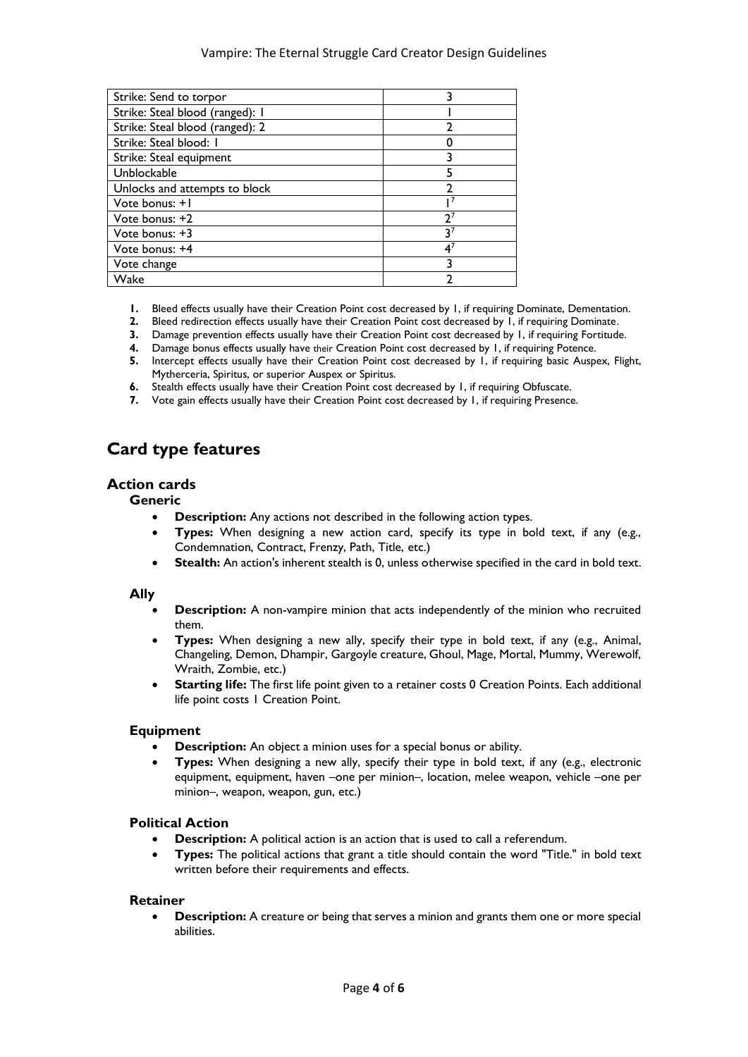#### Vampire: The Eternal Struggle Card Creator Design Guidelines

| Strike: Send to torpor          |    |
|---------------------------------|----|
| Strike: Steal blood (ranged): I |    |
| Strike: Steal blood (ranged): 2 |    |
| Strike: Steal blood: I          |    |
| Strike: Steal equipment         |    |
| Unblockable                     | 5  |
| Unlocks and attempts to block   |    |
| Vote bonus: +1                  |    |
| Vote bonus: +2                  | 27 |
| Vote bonus: +3                  | 37 |
| Vote bonus: +4                  | 41 |
| Vote change                     |    |
| Wake                            |    |

- **1.** Bleed effects usually have their Creation Point cost decreased by 1, if requiring Dominate, Dementation.
- **2.** Bleed redirection effects usually have their Creation Point cost decreased by 1, if requiring Dominate.
- **3.** Damage prevention effects usually have their Creation Point cost decreased by 1, if requiring Fortitude.
- **4.** Damage bonus effects usually have their Creation Point cost decreased by 1, if requiring Potence.
- **5.** Intercept effects usually have their Creation Point cost decreased by 1, if requiring basic Auspex, Flight, Mytherceria, Spiritus, or superior Auspex or Spiritus.
- **6.** Stealth effects usually have their Creation Point cost decreased by 1, if requiring Obfuscate.
- **7.** Vote gain effects usually have their Creation Point cost decreased by 1, if requiring Presence.

## **Card type features**

#### **Action cards**

#### **Generic**

- **Description:** Any actions not described in the following action types.
- **Types:** When designing a new action card, specify its type in bold text, if any (e.g., Condemnation, Contract, Frenzy, Path, Title, etc.)
- **Stealth:** An action's inherent stealth is 0, unless otherwise specified in the card in bold text.

#### **Ally**

- **Description:** A non-vampire minion that acts independently of the minion who recruited them.
- **Types:** When designing a new ally, specify their type in bold text, if any (e.g., Animal, Changeling, Demon, Dhampir, Gargoyle creature, Ghoul, Mage, Mortal, Mummy, Werewolf, Wraith, Zombie, etc.)
- **Starting life:** The first life point given to a retainer costs 0 Creation Points. Each additional life point costs 1 Creation Point.

#### **Equipment**

- **Description:** An object a minion uses for a special bonus or ability.
- **Types:** When designing a new ally, specify their type in bold text, if any (e.g., electronic equipment, equipment, haven –one per minion–, location, melee weapon, vehicle –one per minion–, weapon, weapon, gun, etc.)

#### **Political Action**

- **Description:** A political action is an action that is used to call a referendum.
- **Types:** The political actions that grant a title should contain the word "Title." in bold text written before their requirements and effects.

#### **Retainer**

• **Description:** A creature or being that serves a minion and grants them one or more special abilities.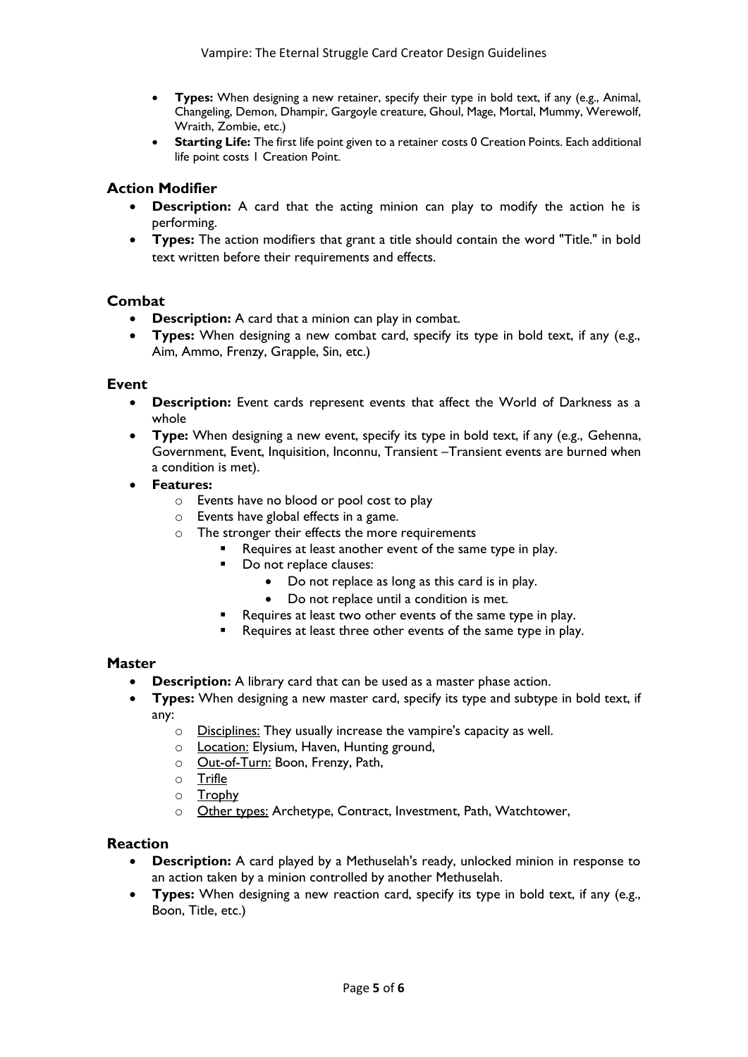- **Types:** When designing a new retainer, specify their type in bold text, if any (e.g., Animal, Changeling, Demon, Dhampir, Gargoyle creature, Ghoul, Mage, Mortal, Mummy, Werewolf, Wraith, Zombie, etc.)
- **Starting Life:** The first life point given to a retainer costs 0 Creation Points. Each additional life point costs 1 Creation Point.

#### **Action Modifier**

- **Description:** A card that the acting minion can play to modify the action he is performing.
- **Types:** The action modifiers that grant a title should contain the word "Title." in bold text written before their requirements and effects.

#### **Combat**

- **Description:** A card that a minion can play in combat.
- **Types:** When designing a new combat card, specify its type in bold text, if any (e.g., Aim, Ammo, Frenzy, Grapple, Sin, etc.)

#### **Event**

- **Description:** Event cards represent events that affect the World of Darkness as a whole
- **Type:** When designing a new event, specify its type in bold text, if any (e.g., Gehenna, Government, Event, Inquisition, Inconnu, Transient –Transient events are burned when a condition is met).
- **Features:** 
	- o Events have no blood or pool cost to play
	- o Events have global effects in a game.
	- o The stronger their effects the more requirements
		- Requires at least another event of the same type in play.
			- Do not replace clauses:
				- Do not replace as long as this card is in play.
				- Do not replace until a condition is met.
			- Requires at least two other events of the same type in play.
		- Requires at least three other events of the same type in play.

#### **Master**

- **Description:** A library card that can be used as a master phase action.
- **Types:** When designing a new master card, specify its type and subtype in bold text, if any:
	- o Disciplines: They usually increase the vampire's capacity as well.
	- o Location: Elysium, Haven, Hunting ground,
	- o **Out-of-Turn:** Boon, Frenzy, Path,
	- o Trifle
	- o Trophy
	- o Other types: Archetype, Contract, Investment, Path, Watchtower,

#### **Reaction**

- **Description:** A card played by a Methuselah's ready, unlocked minion in response to an action taken by a minion controlled by another Methuselah.
- **Types:** When designing a new reaction card, specify its type in bold text, if any (e.g., Boon, Title, etc.)